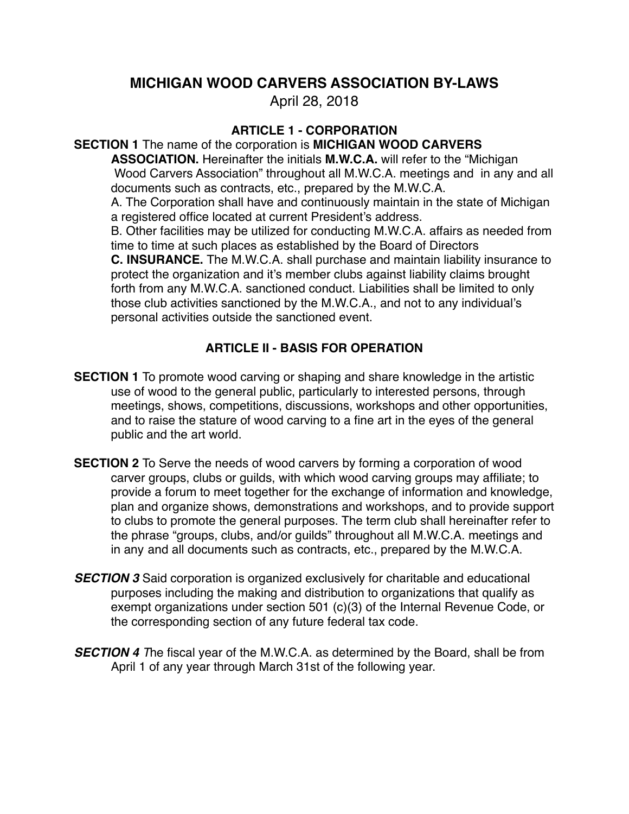# **MICHIGAN WOOD CARVERS ASSOCIATION BY-LAWS**

April 28, 2018

# **ARTICLE 1 - CORPORATION**

**SECTION 1** The name of the corporation is **MICHIGAN WOOD CARVERS** 

**ASSOCIATION.** Hereinafter the initials **M.W.C.A.** will refer to the "Michigan Wood Carvers Association" throughout all M.W.C.A. meetings and in any and all documents such as contracts, etc., prepared by the M.W.C.A.

A. The Corporation shall have and continuously maintain in the state of Michigan a registered office located at current President's address.

B. Other facilities may be utilized for conducting M.W.C.A. affairs as needed from time to time at such places as established by the Board of Directors

**C. INSURANCE.** The M.W.C.A. shall purchase and maintain liability insurance to protect the organization and it's member clubs against liability claims brought forth from any M.W.C.A. sanctioned conduct. Liabilities shall be limited to only those club activities sanctioned by the M.W.C.A., and not to any individual's personal activities outside the sanctioned event.

# **ARTICLE II - BASIS FOR OPERATION**

- **SECTION 1** To promote wood carving or shaping and share knowledge in the artistic use of wood to the general public, particularly to interested persons, through meetings, shows, competitions, discussions, workshops and other opportunities, and to raise the stature of wood carving to a fine art in the eyes of the general public and the art world.
- **SECTION 2** To Serve the needs of wood carvers by forming a corporation of wood carver groups, clubs or guilds, with which wood carving groups may affiliate; to provide a forum to meet together for the exchange of information and knowledge, plan and organize shows, demonstrations and workshops, and to provide support to clubs to promote the general purposes. The term club shall hereinafter refer to the phrase "groups, clubs, and/or guilds" throughout all M.W.C.A. meetings and in any and all documents such as contracts, etc., prepared by the M.W.C.A.
- *SECTION 3* Said corporation is organized exclusively for charitable and educational purposes including the making and distribution to organizations that qualify as exempt organizations under section 501 (c)(3) of the Internal Revenue Code, or the corresponding section of any future federal tax code.
- *SECTION 4 T*he fiscal year of the M.W.C.A. as determined by the Board, shall be from April 1 of any year through March 31st of the following year.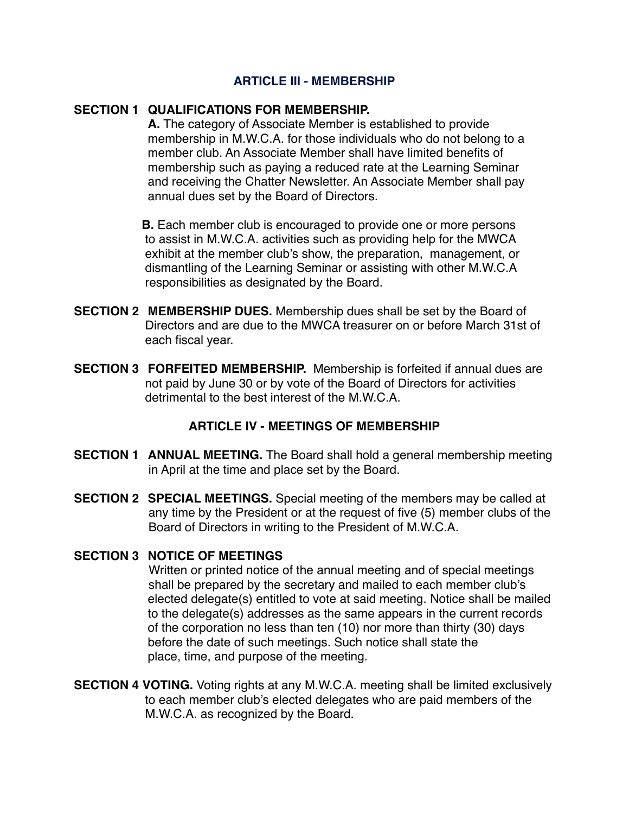#### **ARTICLE III - MEMBERSHIP**

#### **SECTION 1 QUALIFICATIONS FOR MEMBERSHIP.**

A. The category of Associate Member is established to provide membership in M.W.C.A. for those individuals who do not belong to a member club. An Associate Member shall have limited benefits of membership such as paying a reduced rate at the Learning Seminar and receiving the Chatter Newsletter. An Associate Member shall pay annual dues set by the Board of Directors.

**B.** Each member club is encouraged to provide one or more persons to assist in M.W.C.A. activities such as providing help for the MWCA exhibit at the member club's show, the preparation, management, or dismantling of the Learning Seminar or assisting with other M.W.C.A responsibilities as designated by the Board.

- **SECTION 2 MEMBERSHIP DUES.** Membership dues shall be set by the Board of Directors and are due to the MWCA treasurer on or before March 31st of each fiscal year.
- **SECTION 3 FORFEITED MEMBERSHIP.** Membership is forfeited if annual dues are not paid by June 30 or by vote of the Board of Directors for activities detrimental to the best interest of the M W C A

#### **ARTICLE IV - MEETINGS OF MEMBERSHIP**

- **SECTION 1 ANNUAL MEETING.** The Board shall hold a general membership meeting in April at the time and place set by the Board.
- **SECTION 2 SPECIAL MEETINGS.** Special meeting of the members may be called at any time by the President or at the request of five (5) member clubs of the Board of Directors in writing to the President of M.W.C.A.

## **SECTION 3 NOTICE OF MEETINGS**

Written or printed notice of the annual meeting and of special meetings shall be prepared by the secretary and mailed to each member club's elected delegate(s) entitled to vote at said meeting. Notice shall be mailed to the delegate(s) addresses as the same appears in the current records of the corporation no less than ten (10) nor more than thirty (30) days before the date of such meetings. Such notice shall state the place, time, and purpose of the meeting.

**SECTION 4 VOTING.** Voting rights at any M.W.C.A. meeting shall be limited exclusively to each member club's elected delegates who are paid members of the M.W.C.A. as recognized by the Board.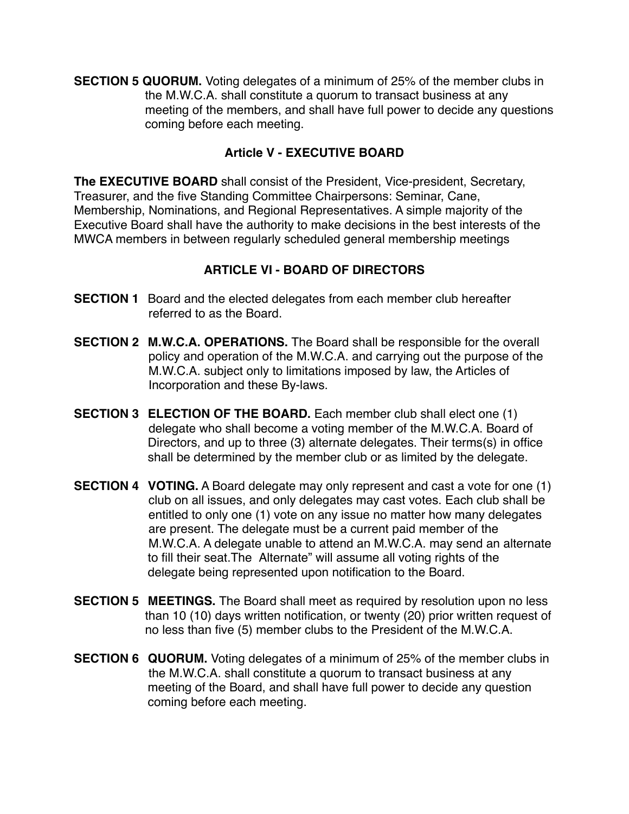**SECTION 5 QUORUM.** Voting delegates of a minimum of 25% of the member clubs in the M.W.C.A. shall constitute a quorum to transact business at any meeting of the members, and shall have full power to decide any questions coming before each meeting.

## **Article V - EXECUTIVE BOARD**

**The EXECUTIVE BOARD** shall consist of the President, Vice-president, Secretary, Treasurer, and the five Standing Committee Chairpersons: Seminar, Cane, Membership, Nominations, and Regional Representatives. A simple majority of the Executive Board shall have the authority to make decisions in the best interests of the MWCA members in between regularly scheduled general membership meetings

# **ARTICLE VI - BOARD OF DIRECTORS**

- **SECTION 1** Board and the elected delegates from each member club hereafter referred to as the Board.
- **SECTION 2 M.W.C.A. OPERATIONS.** The Board shall be responsible for the overall policy and operation of the M.W.C.A. and carrying out the purpose of the M.W.C.A. subject only to limitations imposed by law, the Articles of Incorporation and these By-laws.
- **SECTION 3 ELECTION OF THE BOARD.** Each member club shall elect one (1) delegate who shall become a voting member of the M.W.C.A. Board of Directors, and up to three (3) alternate delegates. Their terms(s) in office shall be determined by the member club or as limited by the delegate.
- **SECTION 4 VOTING.** A Board delegate may only represent and cast a vote for one (1) club on all issues, and only delegates may cast votes. Each club shall be entitled to only one (1) vote on any issue no matter how many delegates are present. The delegate must be a current paid member of the M.W.C.A. A delegate unable to attend an M.W.C.A. may send an alternate to fill their seat. The Alternate" will assume all voting rights of the delegate being represented upon notification to the Board.
- **SECTION 5 MEETINGS.** The Board shall meet as required by resolution upon no less than 10 (10) days written notification, or twenty (20) prior written request of no less than five (5) member clubs to the President of the M.W.C.A.
- **SECTION 6 QUORUM.** Voting delegates of a minimum of 25% of the member clubs in the M.W.C.A. shall constitute a quorum to transact business at any meeting of the Board, and shall have full power to decide any question coming before each meeting.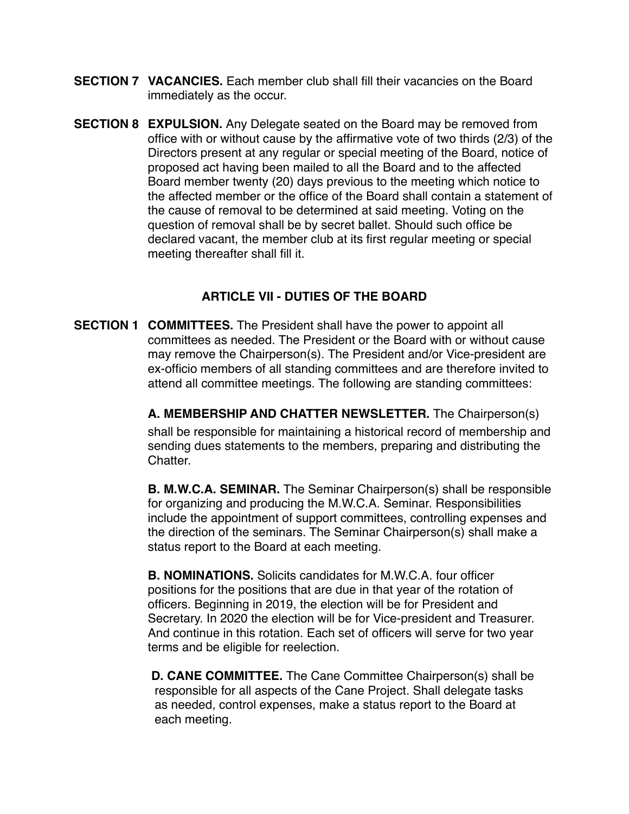- **SECTION 7 VACANCIES.** Each member club shall fill their vacancies on the Board immediately as the occur.
- **SECTION 8 EXPULSION.** Any Delegate seated on the Board may be removed from office with or without cause by the affirmative vote of two thirds (2/3) of the Directors present at any regular or special meeting of the Board, notice of proposed act having been mailed to all the Board and to the affected Board member twenty (20) days previous to the meeting which notice to the affected member or the office of the Board shall contain a statement of the cause of removal to be determined at said meeting. Voting on the question of removal shall be by secret ballet. Should such office be declared vacant, the member club at its first regular meeting or special meeting thereafter shall fill it.

### **ARTICLE VII - DUTIES OF THE BOARD**

**SECTION 1 COMMITTEES.** The President shall have the power to appoint all ! ! committees as needed. The President or the Board with or without cause may remove the Chairperson(s). The President and/or Vice-president are ex-officio members of all standing committees and are therefore invited to attend all committee meetings. The following are standing committees:

> **! ! A. MEMBERSHIP AND CHATTER NEWSLETTER.** The Chairperson(s) shall be responsible for maintaining a historical record of membership and sending dues statements to the members, preparing and distributing the Chatter.

> **B. M.W.C.A. SEMINAR.** The Seminar Chairperson(s) shall be responsible for organizing and producing the M.W.C.A. Seminar. Responsibilities include the appointment of support committees, controlling expenses and the direction of the seminars. The Seminar Chairperson(s) shall make a status report to the Board at each meeting.

**B. NOMINATIONS.** Solicits candidates for M.W.C.A. four officer positions for the positions that are due in that year of the rotation of officers. Beginning in 2019, the election will be for President and Secretary. In 2020 the election will be for Vice-president and Treasurer. And continue in this rotation. Each set of officers will serve for two year terms and be eligible for reelection.

 **D. CANE COMMITTEE.** The Cane Committee Chairperson(s) shall be responsible for all aspects of the Cane Project. Shall delegate tasks as needed, control expenses, make a status report to the Board at each meeting.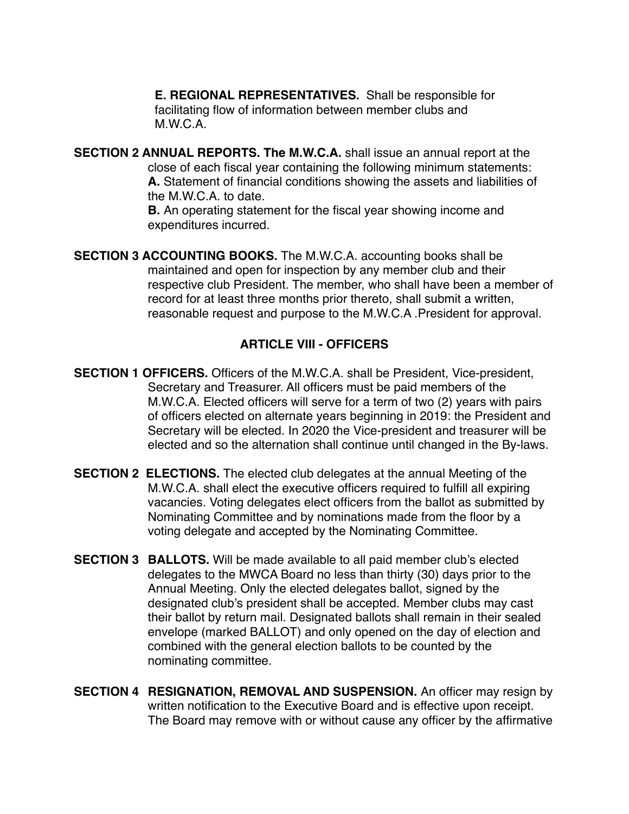**E. REGIONAL REPRESENTATIVES.** Shall be responsible for facilitating flow of information between member clubs and  $M.W.C.A.$ 

**SECTION 2 ANNUAL REPORTS. The M.W.C.A.** shall issue an annual report at the close of each fiscal year containing the following minimum statements: A. Statement of financial conditions showing the assets and liabilities of the M.W.C.A. to date.

> **B.** An operating statement for the fiscal year showing income and expenditures incurred.

**SECTION 3 ACCOUNTING BOOKS.** The M.W.C.A. accounting books shall be maintained and open for inspection by any member club and their respective club President. The member, who shall have been a member of record for at least three months prior thereto, shall submit a written, reasonable request and purpose to the M.W.C.A .President for approval.

## **ARTICLE VIII - OFFICERS**

**SECTION 1 OFFICERS.** Officers of the M.W.C.A. shall be President, Vice-president, Secretary and Treasurer. All officers must be paid members of the M.W.C.A. Elected officers will serve for a term of two (2) years with pairs of officers elected on alternate years beginning in 2019: the President and Secretary will be elected. In 2020 the Vice-president and treasurer will be elected and so the alternation shall continue until changed in the By-laws.

- **SECTION 2 ELECTIONS.** The elected club delegates at the annual Meeting of the M.W.C.A. shall elect the executive officers required to fulfill all expiring vacancies. Voting delegates elect officers from the ballot as submitted by Nominating Committee and by nominations made from the floor by a voting delegate and accepted by the Nominating Committee.
- **SECTION 3 BALLOTS.** Will be made available to all paid member club's elected delegates to the MWCA Board no less than thirty (30) days prior to the Annual Meeting. Only the elected delegates ballot, signed by the designated club's president shall be accepted. Member clubs may cast their ballot by return mail. Designated ballots shall remain in their sealed envelope (marked BALLOT) and only opened on the day of election and combined with the general election ballots to be counted by the nominating committee.
- **SECTION 4 RESIGNATION, REMOVAL AND SUSPENSION.** An officer may resign by written notification to the Executive Board and is effective upon receipt. The Board may remove with or without cause any officer by the affirmative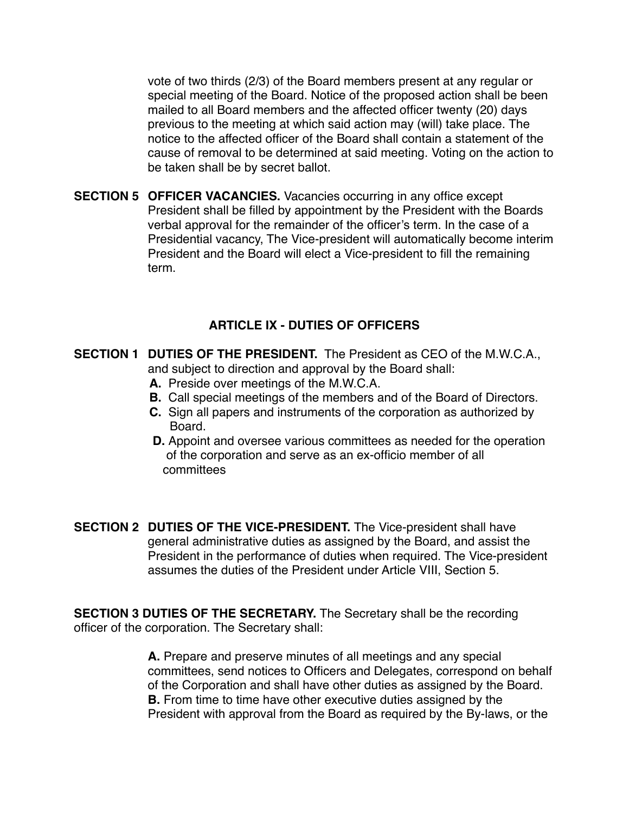! ! vote of two thirds (2/3) of the Board members present at any regular or special meeting of the Board. Notice of the proposed action shall be been mailed to all Board members and the affected officer twenty (20) days previous to the meeting at which said action may (will) take place. The notice to the affected officer of the Board shall contain a statement of the cause of removal to be determined at said meeting. Voting on the action to be taken shall be by secret ballot.

**SECTION 5 OFFICER VACANCIES.** Vacancies occurring in any office except President shall be filled by appointment by the President with the Boards verbal approval for the remainder of the officer's term. In the case of a Presidential vacancy, The Vice-president will automatically become interim President and the Board will elect a Vice-president to fill the remaining term.

#### **ARTICLE IX - DUTIES OF OFFICERS**

- **SECTION 1 DUTIES OF THE PRESIDENT.** The President as CEO of the M.W.C.A., and subject to direction and approval by the Board shall:
	- **A.** Preside over meetings of the M.W.C.A.
	- **B.** Call special meetings of the members and of the Board of Directors.
	- **C.** Sign all papers and instruments of the corporation as authorized by Board.
	- **D.** Appoint and oversee various committees as needed for the operation of the corporation and serve as an ex-officio member of all committees
- **SECTION 2 DUTIES OF THE VICE-PRESIDENT.** The Vice-president shall have general administrative duties as assigned by the Board, and assist the President in the performance of duties when required. The Vice-president assumes the duties of the President under Article VIII, Section 5.

**SECTION 3 DUTIES OF THE SECRETARY.** The Secretary shall be the recording officer of the corporation. The Secretary shall:

> A. Prepare and preserve minutes of all meetings and any special committees, send notices to Officers and Delegates, correspond on behalf of the Corporation and shall have other duties as assigned by the Board. **B.** From time to time have other executive duties assigned by the President with approval from the Board as required by the By-laws, or the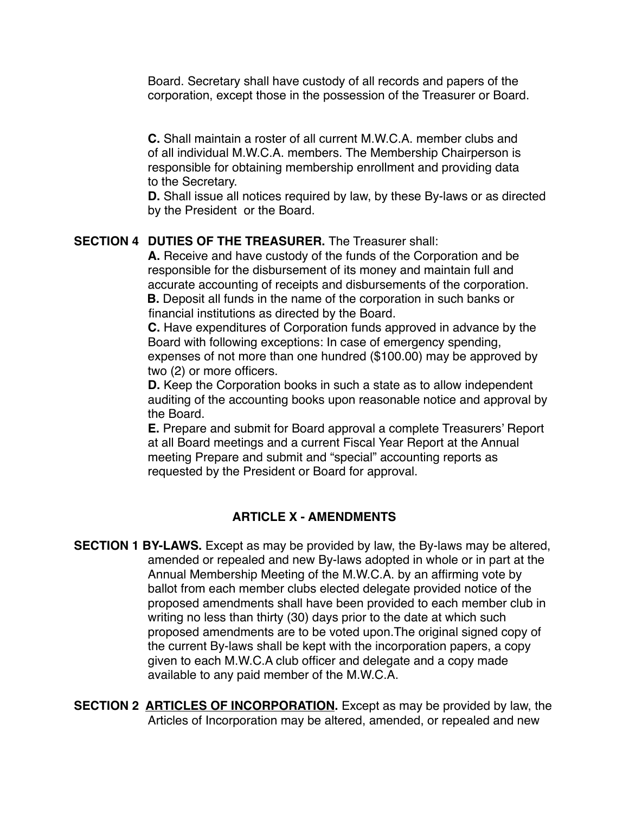Board. Secretary shall have custody of all records and papers of the corporation, except those in the possession of the Treasurer or Board.

**!! ! C.** Shall maintain a roster of all current M.W.C.A. member clubs and of all individual M.W.C.A. members. The Membership Chairperson is responsible for obtaining membership enrollment and providing data to the Secretary.

**D.** Shall issue all notices required by law, by these By-laws or as directed by the President or the Board.

### **SECTION 4 DUTIES OF THE TREASURER.** The Treasurer shall:

A. Receive and have custody of the funds of the Corporation and be responsible for the disbursement of its money and maintain full and accurate accounting of receipts and disbursements of the corporation. **B.** Deposit all funds in the name of the corporation in such banks or financial institutions as directed by the Board.

**C.** Have expenditures of Corporation funds approved in advance by the Board with following exceptions: In case of emergency spending, expenses of not more than one hundred (\$100.00) may be approved by two (2) or more officers.

**D.** Keep the Corporation books in such a state as to allow independent auditing of the accounting books upon reasonable notice and approval by the Board.

**E.** Prepare and submit for Board approval a complete Treasurers' Report at all Board meetings and a current Fiscal Year Report at the Annual meeting Prepare and submit and "special" accounting reports as requested by the President or Board for approval.

#### **ARTICLE X - AMENDMENTS**

**SECTION 1 BY-LAWS.** Except as may be provided by law, the By-laws may be altered, amended or repealed and new By-laws adopted in whole or in part at the Annual Membership Meeting of the M.W.C.A. by an affirming vote by ballot from each member clubs elected delegate provided notice of the proposed amendments shall have been provided to each member club in writing no less than thirty (30) days prior to the date at which such proposed amendments are to be voted upon. The original signed copy of the current By-laws shall be kept with the incorporation papers, a copy given to each M.W.C.A club officer and delegate and a copy made available to any paid member of the M.W.C.A.

**SECTION 2 ARTICLES OF INCORPORATION.** Except as may be provided by law, the Articles of Incorporation may be altered, amended, or repealed and new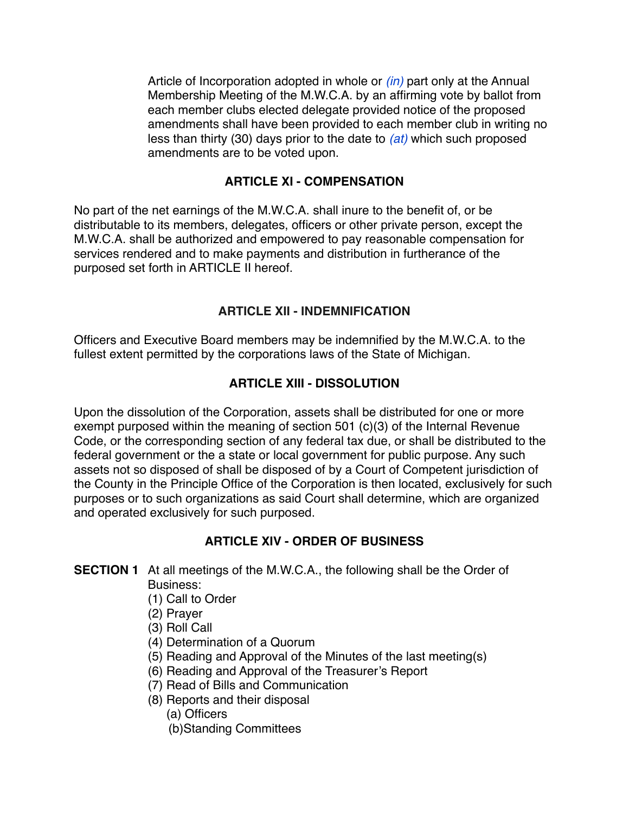Article of Incorporation adopted in whole or *(in)* part only at the Annual Membership Meeting of the M.W.C.A. by an affirming vote by ballot from each member clubs elected delegate provided notice of the proposed amendments shall have been provided to each member club in writing no less than thirty (30) days prior to the date to *(at)* which such proposed amendments are to be voted upon.

## **ARTICLE XI - COMPENSATION**

No part of the net earnings of the M.W.C.A. shall inure to the benefit of, or be distributable to its members, delegates, officers or other private person, except the M.W.C.A. shall be authorized and empowered to pay reasonable compensation for services rendered and to make payments and distribution in furtherance of the purposed set forth in ARTICLE II hereof.

## **ARTICLE XII - INDEMNIFICATION**

Officers and Executive Board members may be indemnified by the M.W.C.A. to the fullest extent permitted by the corporations laws of the State of Michigan.

### **ARTICLE XIII - DISSOLUTION**

Upon the dissolution of the Corporation, assets shall be distributed for one or more exempt purposed within the meaning of section 501 (c)(3) of the Internal Revenue Code, or the corresponding section of any federal tax due, or shall be distributed to the federal government or the a state or local government for public purpose. Any such assets not so disposed of shall be disposed of by a Court of Competent jurisdiction of the County in the Principle Office of the Corporation is then located, exclusively for such purposes or to such organizations as said Court shall determine, which are organized and operated exclusively for such purposed.

## **ARTICLE XIV - ORDER OF BUSINESS**

**SECTION 1** At all meetings of the M.W.C.A., the following shall be the Order of Business:

- $(1)$  Call to Order
- (2) Prayer
- (3) Roll Call
- ! ! (4) Determination of a Quorum
- ! ! (5) Reading and Approval of the Minutes of the last meeting(s)
- ! ! (6) Reading and Approval of the Treasurer's Report
- ! ! (7) Read of Bills and Communication
- (8) Reports and their disposal
	- (a) Officers
	- (b)Standing Committees